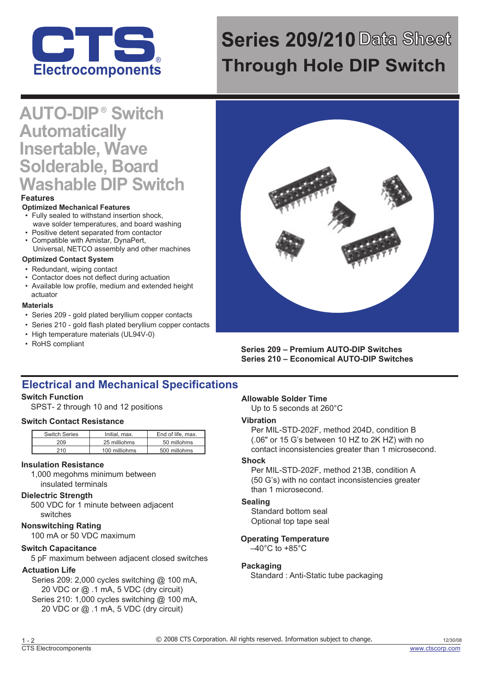

# **Series 209/210Data Sheet Through Hole DIP Switch**

# **AUTO-DIP ® Switch Automatically Insertable, Wave Solderable, Board Washable DIP Switch**

#### **Features**

#### **Optimized Mechanical Features**

- Fully sealed to withstand insertion shock. wave solder temperatures, and board washing
- Positive detent separated from contactor
- Compatible with Amistar, DynaPert, Universal, NETCO assembly and other machines

#### **Optimized Contact System**

- Redundant, wiping contact
- Contactor does not deflect during actuation
- Available low profile, medium and extended height actuator

#### **Materials**

- Series 209 gold plated beryllium copper contacts
- Series 210 gold flash plated beryllium copper contacts
- High temperature materials (UL94V-0)
- RoHS compliant



**Series 209 – Premium AUTO-DIP Switches Series 210 – Economical AUTO-DIP Switches**

## **Electrical and Mechanical Specifications**

#### **Switch Function**

SPST- 2 through 10 and 12 positions

#### **Switch Contact Resistance**

| Switch Series | Initial, max. | End of life, max. |
|---------------|---------------|-------------------|
| 209           | 25 milliohms  | 50 millohms       |
| 210           | 100 milliohms | 500 millohms      |

#### **Insulation Resistance**

1,000 megohms minimum between insulated terminals

#### **Dielectric Strength**

500 VDC for 1 minute between adjacent switches

#### **Nonswitching Rating**

100 mA or 50 VDC maximum

#### **Switch Capacitance**

5 pF maximum between adjacent closed switches

#### **Actuation Life**

Series 209: 2,000 cycles switching @ 100 mA, 20 VDC or @ .1 mA, 5 VDC (dry circuit) Series 210: 1,000 cycles switching @ 100 mA, 20 VDC or @ .1 mA, 5 VDC (dry circuit)

#### **Allowable Solder Time**

Up to 5 seconds at 260°C

#### **Vibration**

Per MIL-STD-202F, method 204D, condition B (.06" or 15 G's between 10 HZ to 2K HZ) with no contact inconsistencies greater than 1 microsecond.

#### **Shock**

Per MIL-STD-202F, method 213B, condition A (50 G's) with no contact inconsistencies greater than 1 microsecond.

#### **Sealing**

Standard bottom seal Optional top tape seal

#### **Operating Temperature**

 $-40^{\circ}$ C to +85 $^{\circ}$ C

#### **Packaging**

Standard : Anti-Static tube packaging